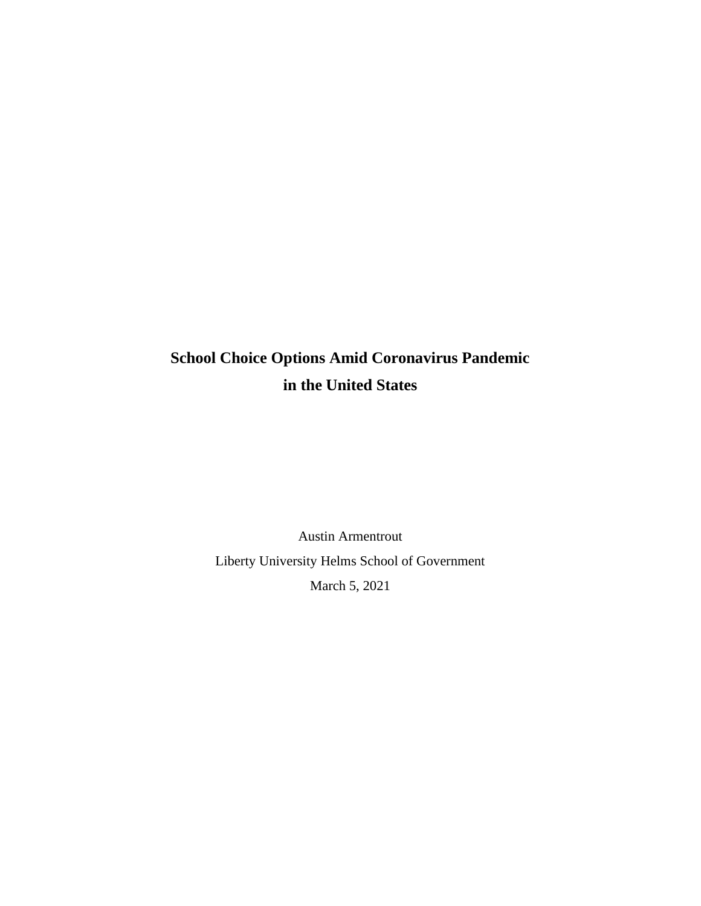## **School Choice Options Amid Coronavirus Pandemic in the United States**

Austin Armentrout Liberty University Helms School of Government March 5, 2021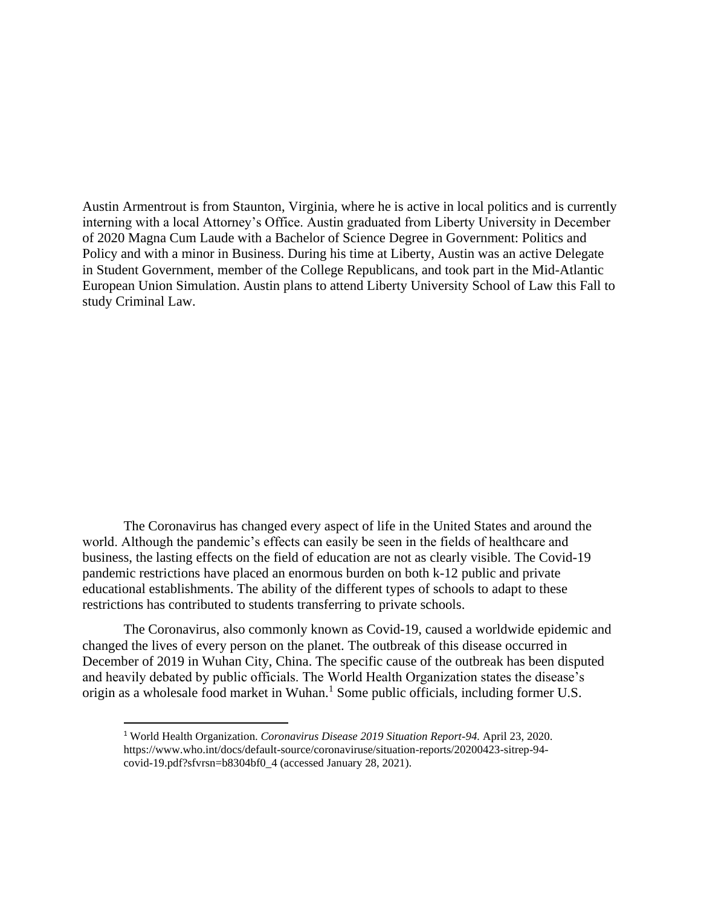Austin Armentrout is from Staunton, Virginia, where he is active in local politics and is currently interning with a local Attorney's Office. Austin graduated from Liberty University in December of 2020 Magna Cum Laude with a Bachelor of Science Degree in Government: Politics and Policy and with a minor in Business. During his time at Liberty, Austin was an active Delegate in Student Government, member of the College Republicans, and took part in the Mid-Atlantic European Union Simulation. Austin plans to attend Liberty University School of Law this Fall to study Criminal Law.

The Coronavirus has changed every aspect of life in the United States and around the world. Although the pandemic's effects can easily be seen in the fields of healthcare and business, the lasting effects on the field of education are not as clearly visible. The Covid-19 pandemic restrictions have placed an enormous burden on both k-12 public and private educational establishments. The ability of the different types of schools to adapt to these restrictions has contributed to students transferring to private schools.

The Coronavirus, also commonly known as Covid-19, caused a worldwide epidemic and changed the lives of every person on the planet. The outbreak of this disease occurred in December of 2019 in Wuhan City, China. The specific cause of the outbreak has been disputed and heavily debated by public officials. The World Health Organization states the disease's origin as a wholesale food market in Wuhan.<sup>1</sup> Some public officials, including former U.S.

<sup>1</sup> World Health Organization. *Coronavirus Disease 2019 Situation Report-94.* April 23, 2020. https://www.who.int/docs/default-source/coronaviruse/situation-reports/20200423-sitrep-94 covid-19.pdf?sfvrsn=b8304bf0\_4 (accessed January 28, 2021).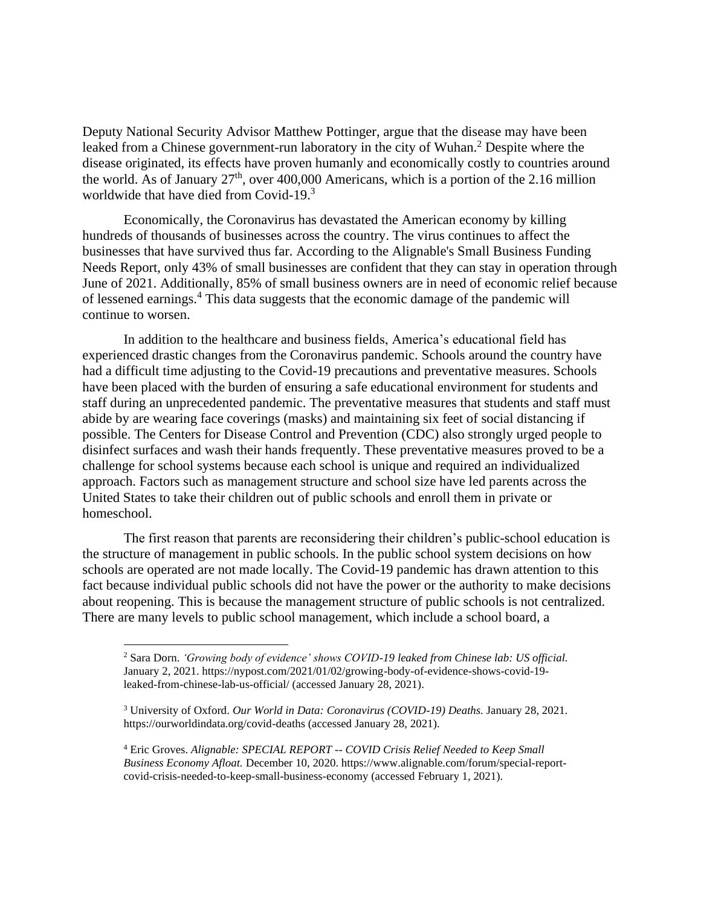Deputy National Security Advisor Matthew Pottinger, argue that the disease may have been leaked from a Chinese government-run laboratory in the city of Wuhan.<sup>2</sup> Despite where the disease originated, its effects have proven humanly and economically costly to countries around the world. As of January  $27<sup>th</sup>$ , over 400,000 Americans, which is a portion of the 2.16 million worldwide that have died from Covid-19.<sup>3</sup>

Economically, the Coronavirus has devastated the American economy by killing hundreds of thousands of businesses across the country. The virus continues to affect the businesses that have survived thus far. According to the Alignable's Small Business Funding Needs Report, only 43% of small businesses are confident that they can stay in operation through June of 2021. Additionally, 85% of small business owners are in need of economic relief because of lessened earnings.<sup>4</sup> This data suggests that the economic damage of the pandemic will continue to worsen.

In addition to the healthcare and business fields, America's educational field has experienced drastic changes from the Coronavirus pandemic. Schools around the country have had a difficult time adjusting to the Covid-19 precautions and preventative measures. Schools have been placed with the burden of ensuring a safe educational environment for students and staff during an unprecedented pandemic. The preventative measures that students and staff must abide by are wearing face coverings (masks) and maintaining six feet of social distancing if possible. The Centers for Disease Control and Prevention (CDC) also strongly urged people to disinfect surfaces and wash their hands frequently. These preventative measures proved to be a challenge for school systems because each school is unique and required an individualized approach. Factors such as management structure and school size have led parents across the United States to take their children out of public schools and enroll them in private or homeschool.

The first reason that parents are reconsidering their children's public-school education is the structure of management in public schools. In the public school system decisions on how schools are operated are not made locally. The Covid-19 pandemic has drawn attention to this fact because individual public schools did not have the power or the authority to make decisions about reopening. This is because the management structure of public schools is not centralized. There are many levels to public school management, which include a school board, a

<sup>2</sup> Sara Dorn. *'Growing body of evidence' shows COVID-19 leaked from Chinese lab: US official.* January 2, 2021. https://nypost.com/2021/01/02/growing-body-of-evidence-shows-covid-19 leaked-from-chinese-lab-us-official/ (accessed January 28, 2021).

<sup>3</sup> University of Oxford. *Our World in Data: Coronavirus (COVID-19) Deaths.* January 28, 2021. https://ourworldindata.org/covid-deaths (accessed January 28, 2021).

<sup>4</sup> Eric Groves. *Alignable: SPECIAL REPORT -- COVID Crisis Relief Needed to Keep Small Business Economy Afloat.* December 10, 2020. https://www.alignable.com/forum/special-reportcovid-crisis-needed-to-keep-small-business-economy (accessed February 1, 2021).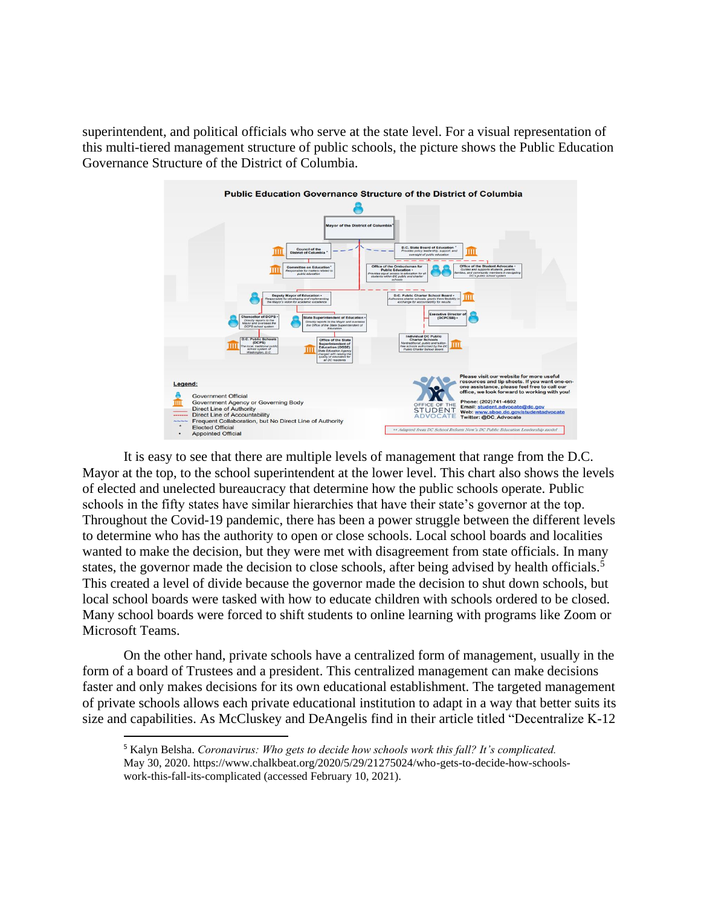superintendent, and political officials who serve at the state level. For a visual representation of this multi-tiered management structure of public schools, the picture shows the Public Education Governance Structure of the District of Columbia.



It is easy to see that there are multiple levels of management that range from the D.C. Mayor at the top, to the school superintendent at the lower level. This chart also shows the levels of elected and unelected bureaucracy that determine how the public schools operate. Public schools in the fifty states have similar hierarchies that have their state's governor at the top. Throughout the Covid-19 pandemic, there has been a power struggle between the different levels to determine who has the authority to open or close schools. Local school boards and localities wanted to make the decision, but they were met with disagreement from state officials. In many states, the governor made the decision to close schools, after being advised by health officials.<sup>5</sup> This created a level of divide because the governor made the decision to shut down schools, but local school boards were tasked with how to educate children with schools ordered to be closed. Many school boards were forced to shift students to online learning with programs like Zoom or Microsoft Teams.

On the other hand, private schools have a centralized form of management, usually in the form of a board of Trustees and a president. This centralized management can make decisions faster and only makes decisions for its own educational establishment. The targeted management of private schools allows each private educational institution to adapt in a way that better suits its size and capabilities. As McCluskey and DeAngelis find in their article titled "Decentralize K-12

<sup>5</sup> Kalyn Belsha. *Coronavirus: Who gets to decide how schools work this fall? It's complicated.* May 30, 2020. https://www.chalkbeat.org/2020/5/29/21275024/who-gets-to-decide-how-schoolswork-this-fall-its-complicated (accessed February 10, 2021).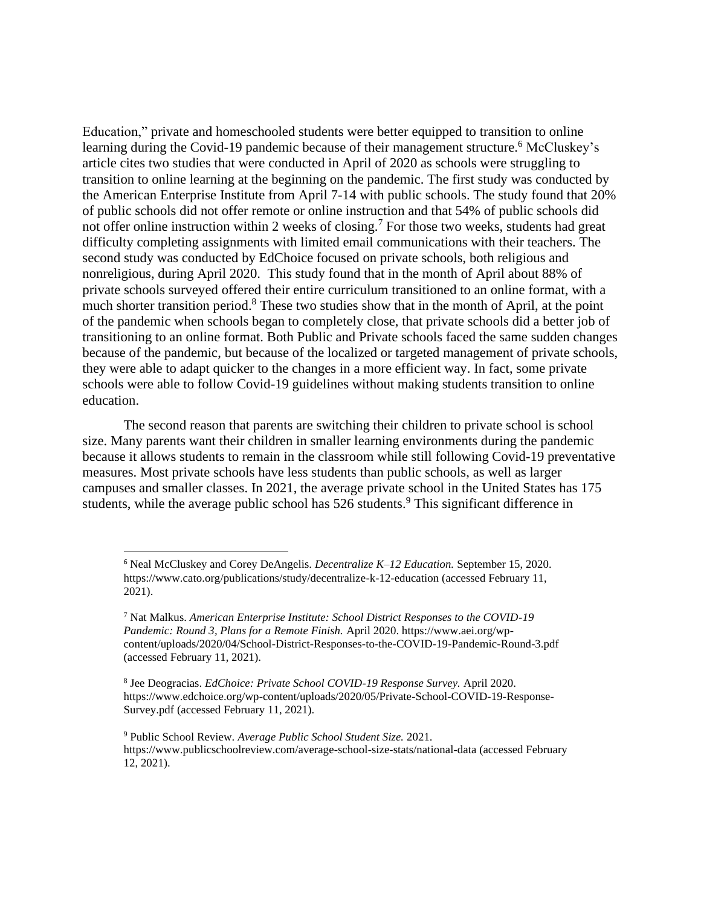Education," private and homeschooled students were better equipped to transition to online learning during the Covid-19 pandemic because of their management structure.<sup>6</sup> McCluskey's article cites two studies that were conducted in April of 2020 as schools were struggling to transition to online learning at the beginning on the pandemic. The first study was conducted by the American Enterprise Institute from April 7-14 with public schools. The study found that 20% of public schools did not offer remote or online instruction and that 54% of public schools did not offer online instruction within 2 weeks of closing.<sup>7</sup> For those two weeks, students had great difficulty completing assignments with limited email communications with their teachers. The second study was conducted by EdChoice focused on private schools, both religious and nonreligious, during April 2020. This study found that in the month of April about 88% of private schools surveyed offered their entire curriculum transitioned to an online format, with a much shorter transition period.<sup>8</sup> These two studies show that in the month of April, at the point of the pandemic when schools began to completely close, that private schools did a better job of transitioning to an online format. Both Public and Private schools faced the same sudden changes because of the pandemic, but because of the localized or targeted management of private schools, they were able to adapt quicker to the changes in a more efficient way. In fact, some private schools were able to follow Covid-19 guidelines without making students transition to online education.

The second reason that parents are switching their children to private school is school size. Many parents want their children in smaller learning environments during the pandemic because it allows students to remain in the classroom while still following Covid-19 preventative measures. Most private schools have less students than public schools, as well as larger campuses and smaller classes. In 2021, the average private school in the United States has 175 students, while the average public school has 526 students.<sup>9</sup> This significant difference in

<sup>6</sup> Neal McCluskey and Corey DeAngelis. *Decentralize K–12 Education.* September 15, 2020. https://www.cato.org/publications/study/decentralize-k-12-education (accessed February 11, 2021).

<sup>7</sup> Nat Malkus. *American Enterprise Institute: School District Responses to the COVID-19 Pandemic: Round 3, Plans for a Remote Finish.* April 2020. https://www.aei.org/wpcontent/uploads/2020/04/School-District-Responses-to-the-COVID-19-Pandemic-Round-3.pdf (accessed February 11, 2021).

<sup>8</sup> Jee Deogracias. *EdChoice: Private School COVID-19 Response Survey.* April 2020. https://www.edchoice.org/wp-content/uploads/2020/05/Private-School-COVID-19-Response-Survey.pdf (accessed February 11, 2021).

<sup>9</sup> Public School Review. *Average Public School Student Size.* 2021. https://www.publicschoolreview.com/average-school-size-stats/national-data (accessed February 12, 2021).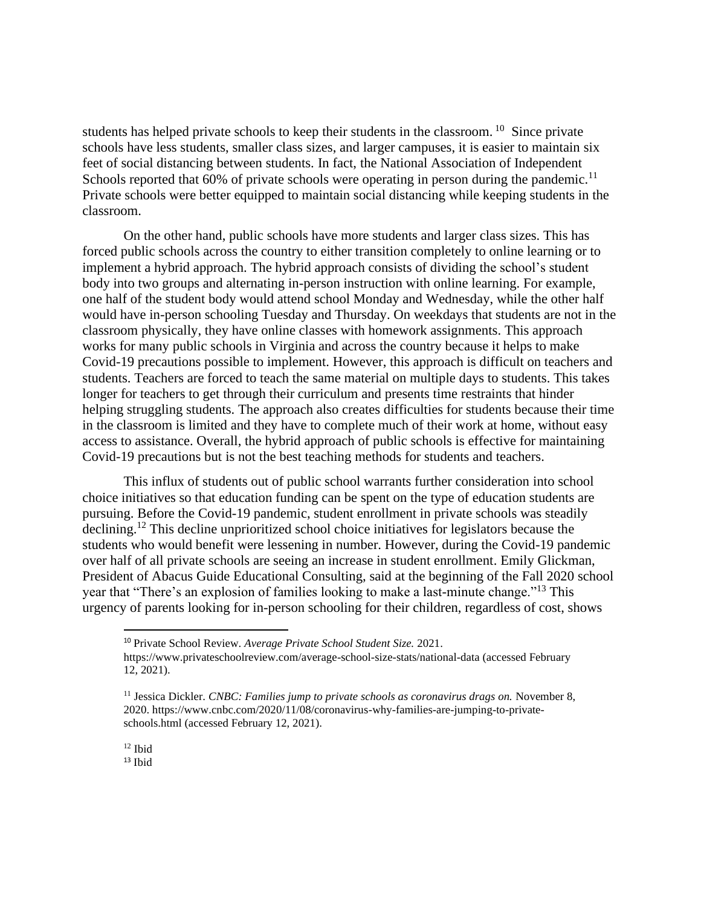students has helped private schools to keep their students in the classroom. <sup>10</sup> Since private schools have less students, smaller class sizes, and larger campuses, it is easier to maintain six feet of social distancing between students. In fact, the National Association of Independent Schools reported that  $60\%$  of private schools were operating in person during the pandemic.<sup>11</sup> Private schools were better equipped to maintain social distancing while keeping students in the classroom.

On the other hand, public schools have more students and larger class sizes. This has forced public schools across the country to either transition completely to online learning or to implement a hybrid approach. The hybrid approach consists of dividing the school's student body into two groups and alternating in-person instruction with online learning. For example, one half of the student body would attend school Monday and Wednesday, while the other half would have in-person schooling Tuesday and Thursday. On weekdays that students are not in the classroom physically, they have online classes with homework assignments. This approach works for many public schools in Virginia and across the country because it helps to make Covid-19 precautions possible to implement. However, this approach is difficult on teachers and students. Teachers are forced to teach the same material on multiple days to students. This takes longer for teachers to get through their curriculum and presents time restraints that hinder helping struggling students. The approach also creates difficulties for students because their time in the classroom is limited and they have to complete much of their work at home, without easy access to assistance. Overall, the hybrid approach of public schools is effective for maintaining Covid-19 precautions but is not the best teaching methods for students and teachers.

This influx of students out of public school warrants further consideration into school choice initiatives so that education funding can be spent on the type of education students are pursuing. Before the Covid-19 pandemic, student enrollment in private schools was steadily declining.<sup>12</sup> This decline unprioritized school choice initiatives for legislators because the students who would benefit were lessening in number. However, during the Covid-19 pandemic over half of all private schools are seeing an increase in student enrollment. Emily Glickman, President of Abacus Guide Educational Consulting, said at the beginning of the Fall 2020 school year that "There's an explosion of families looking to make a last-minute change."<sup>13</sup> This urgency of parents looking for in-person schooling for their children, regardless of cost, shows

<sup>10</sup> Private School Review. *Average Private School Student Size.* 2021. https://www.privateschoolreview.com/average-school-size-stats/national-data (accessed February 12, 2021).

<sup>11</sup> Jessica Dickler. *CNBC: Families jump to private schools as coronavirus drags on.* November 8, 2020. https://www.cnbc.com/2020/11/08/coronavirus-why-families-are-jumping-to-privateschools.html (accessed February 12, 2021).

<sup>12</sup> Ibid

 $13$  Ibid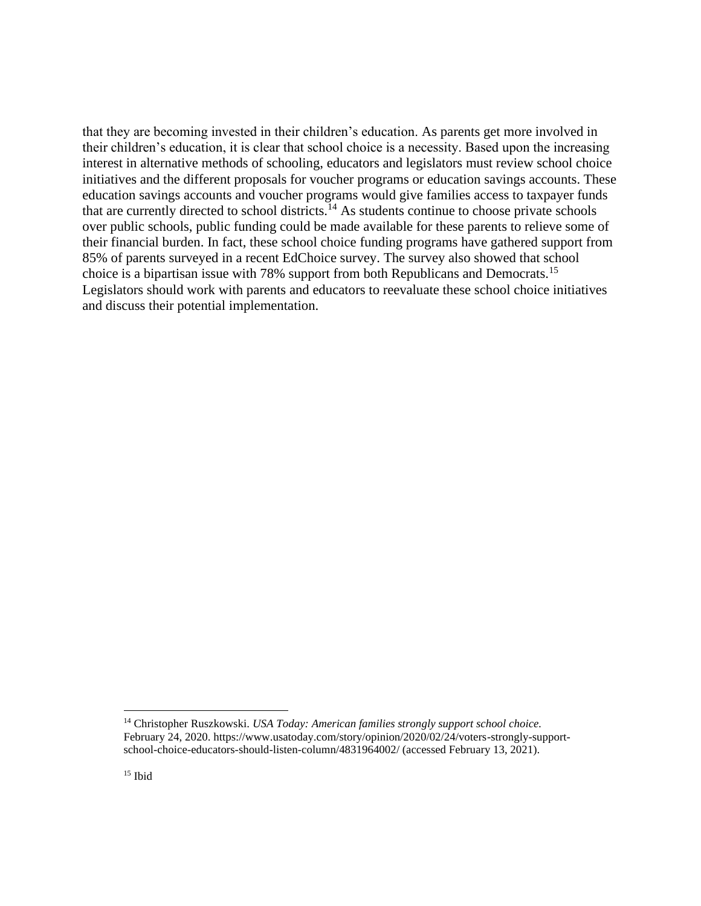that they are becoming invested in their children's education. As parents get more involved in their children's education, it is clear that school choice is a necessity. Based upon the increasing interest in alternative methods of schooling, educators and legislators must review school choice initiatives and the different proposals for voucher programs or education savings accounts. These education savings accounts and voucher programs would give families access to taxpayer funds that are currently directed to school districts.<sup>14</sup> As students continue to choose private schools over public schools, public funding could be made available for these parents to relieve some of their financial burden. In fact, these school choice funding programs have gathered support from 85% of parents surveyed in a recent EdChoice survey. The survey also showed that school choice is a bipartisan issue with 78% support from both Republicans and Democrats.<sup>15</sup> Legislators should work with parents and educators to reevaluate these school choice initiatives and discuss their potential implementation.

<sup>14</sup> Christopher Ruszkowski. *USA Today: American families strongly support school choice.* February 24, 2020. https://www.usatoday.com/story/opinion/2020/02/24/voters-strongly-supportschool-choice-educators-should-listen-column/4831964002/ (accessed February 13, 2021).